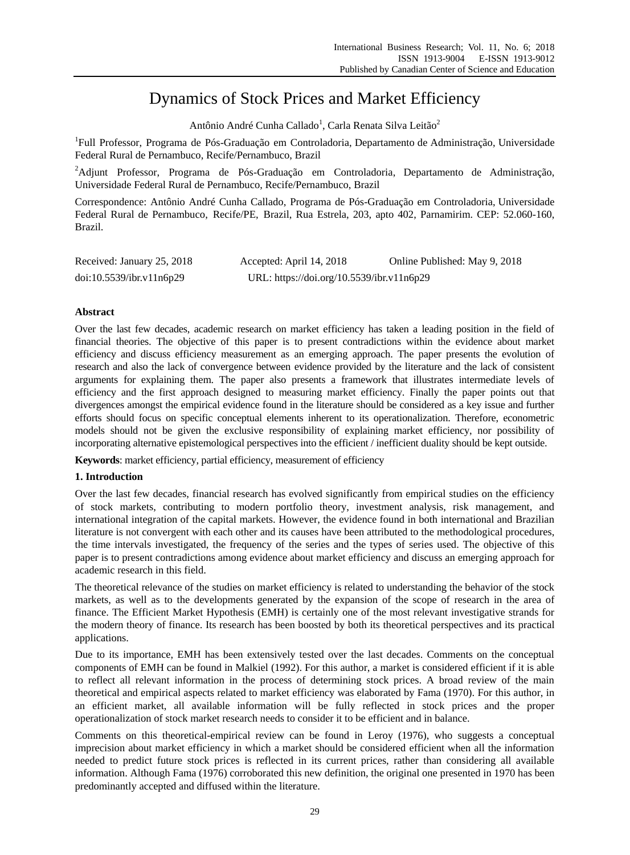# Dynamics of Stock Prices and Market Efficiency

Antônio André Cunha Callado<sup>1</sup>, Carla Renata Silva Leitão<sup>2</sup>

<sup>1</sup>Full Professor, Programa de Pós-Graduação em Controladoria, Departamento de Administração, Universidade Federal Rural de Pernambuco, Recife/Pernambuco, Brazil

<sup>2</sup>Adjunt Professor, Programa de Pós-Graduação em Controladoria, Departamento de Administração, Universidade Federal Rural de Pernambuco, Recife/Pernambuco, Brazil

Correspondence: Antônio André Cunha Callado, Programa de Pós-Graduação em Controladoria, Universidade Federal Rural de Pernambuco, Recife/PE, Brazil, Rua Estrela, 203, apto 402, Parnamirim. CEP: 52.060-160, Brazil.

| Received: January 25, 2018 | Accepted: April 14, 2018                  | Online Published: May 9, 2018 |
|----------------------------|-------------------------------------------|-------------------------------|
| doi:10.5539/ibr.v11n6p29   | URL: https://doi.org/10.5539/ibr.v11n6p29 |                               |

## **Abstract**

Over the last few decades, academic research on market efficiency has taken a leading position in the field of financial theories. The objective of this paper is to present contradictions within the evidence about market efficiency and discuss efficiency measurement as an emerging approach. The paper presents the evolution of research and also the lack of convergence between evidence provided by the literature and the lack of consistent arguments for explaining them. The paper also presents a framework that illustrates intermediate levels of efficiency and the first approach designed to measuring market efficiency. Finally the paper points out that divergences amongst the empirical evidence found in the literature should be considered as a key issue and further efforts should focus on specific conceptual elements inherent to its operationalization. Therefore, econometric models should not be given the exclusive responsibility of explaining market efficiency, nor possibility of incorporating alternative epistemological perspectives into the efficient / inefficient duality should be kept outside.

**Keywords**: market efficiency, partial efficiency, measurement of efficiency

## **1. Introduction**

Over the last few decades, financial research has evolved significantly from empirical studies on the efficiency of stock markets, contributing to modern portfolio theory, investment analysis, risk management, and international integration of the capital markets. However, the evidence found in both international and Brazilian literature is not convergent with each other and its causes have been attributed to the methodological procedures, the time intervals investigated, the frequency of the series and the types of series used. The objective of this paper is to present contradictions among evidence about market efficiency and discuss an emerging approach for academic research in this field.

The theoretical relevance of the studies on market efficiency is related to understanding the behavior of the stock markets, as well as to the developments generated by the expansion of the scope of research in the area of finance. The Efficient Market Hypothesis (EMH) is certainly one of the most relevant investigative strands for the modern theory of finance. Its research has been boosted by both its theoretical perspectives and its practical applications.

Due to its importance, EMH has been extensively tested over the last decades. Comments on the conceptual components of EMH can be found in Malkiel (1992). For this author, a market is considered efficient if it is able to reflect all relevant information in the process of determining stock prices. A broad review of the main theoretical and empirical aspects related to market efficiency was elaborated by Fama (1970). For this author, in an efficient market, all available information will be fully reflected in stock prices and the proper operationalization of stock market research needs to consider it to be efficient and in balance.

Comments on this theoretical-empirical review can be found in Leroy (1976), who suggests a conceptual imprecision about market efficiency in which a market should be considered efficient when all the information needed to predict future stock prices is reflected in its current prices, rather than considering all available information. Although Fama (1976) corroborated this new definition, the original one presented in 1970 has been predominantly accepted and diffused within the literature.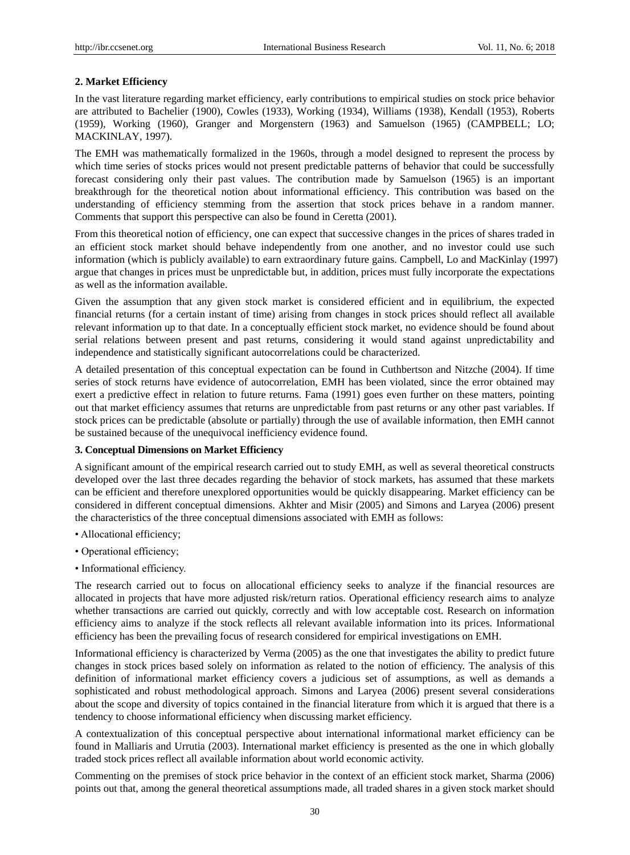#### **2. Market Efficiency**

In the vast literature regarding market efficiency, early contributions to empirical studies on stock price behavior are attributed to Bachelier (1900), Cowles (1933), Working (1934), Williams (1938), Kendall (1953), Roberts (1959), Working (1960), Granger and Morgenstern (1963) and Samuelson (1965) (CAMPBELL; LO; MACKINLAY, 1997).

The EMH was mathematically formalized in the 1960s, through a model designed to represent the process by which time series of stocks prices would not present predictable patterns of behavior that could be successfully forecast considering only their past values. The contribution made by Samuelson (1965) is an important breakthrough for the theoretical notion about informational efficiency. This contribution was based on the understanding of efficiency stemming from the assertion that stock prices behave in a random manner. Comments that support this perspective can also be found in Ceretta (2001).

From this theoretical notion of efficiency, one can expect that successive changes in the prices of shares traded in an efficient stock market should behave independently from one another, and no investor could use such information (which is publicly available) to earn extraordinary future gains. Campbell, Lo and MacKinlay (1997) argue that changes in prices must be unpredictable but, in addition, prices must fully incorporate the expectations as well as the information available.

Given the assumption that any given stock market is considered efficient and in equilibrium, the expected financial returns (for a certain instant of time) arising from changes in stock prices should reflect all available relevant information up to that date. In a conceptually efficient stock market, no evidence should be found about serial relations between present and past returns, considering it would stand against unpredictability and independence and statistically significant autocorrelations could be characterized.

A detailed presentation of this conceptual expectation can be found in Cuthbertson and Nitzche (2004). If time series of stock returns have evidence of autocorrelation, EMH has been violated, since the error obtained may exert a predictive effect in relation to future returns. Fama (1991) goes even further on these matters, pointing out that market efficiency assumes that returns are unpredictable from past returns or any other past variables. If stock prices can be predictable (absolute or partially) through the use of available information, then EMH cannot be sustained because of the unequivocal inefficiency evidence found.

#### **3. Conceptual Dimensions on Market Efficiency**

A significant amount of the empirical research carried out to study EMH, as well as several theoretical constructs developed over the last three decades regarding the behavior of stock markets, has assumed that these markets can be efficient and therefore unexplored opportunities would be quickly disappearing. Market efficiency can be considered in different conceptual dimensions. Akhter and Misir (2005) and Simons and Laryea (2006) present the characteristics of the three conceptual dimensions associated with EMH as follows:

- Allocational efficiency;
- Operational efficiency;
- Informational efficiency.

The research carried out to focus on allocational efficiency seeks to analyze if the financial resources are allocated in projects that have more adjusted risk/return ratios. Operational efficiency research aims to analyze whether transactions are carried out quickly, correctly and with low acceptable cost. Research on information efficiency aims to analyze if the stock reflects all relevant available information into its prices. Informational efficiency has been the prevailing focus of research considered for empirical investigations on EMH.

Informational efficiency is characterized by Verma (2005) as the one that investigates the ability to predict future changes in stock prices based solely on information as related to the notion of efficiency. The analysis of this definition of informational market efficiency covers a judicious set of assumptions, as well as demands a sophisticated and robust methodological approach. Simons and Laryea (2006) present several considerations about the scope and diversity of topics contained in the financial literature from which it is argued that there is a tendency to choose informational efficiency when discussing market efficiency.

A contextualization of this conceptual perspective about international informational market efficiency can be found in Malliaris and Urrutia (2003). International market efficiency is presented as the one in which globally traded stock prices reflect all available information about world economic activity.

Commenting on the premises of stock price behavior in the context of an efficient stock market, Sharma (2006) points out that, among the general theoretical assumptions made, all traded shares in a given stock market should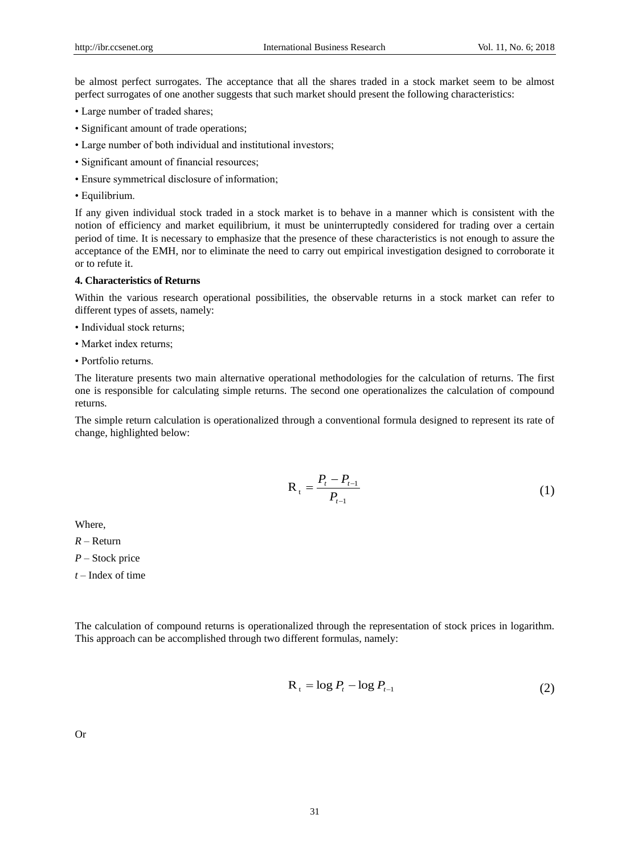be almost perfect surrogates. The acceptance that all the shares traded in a stock market seem to be almost perfect surrogates of one another suggests that such market should present the following characteristics:

- Large number of traded shares;
- Significant amount of trade operations;
- Large number of both individual and institutional investors;
- Significant amount of financial resources;
- Ensure symmetrical disclosure of information;
- Equilibrium.

If any given individual stock traded in a stock market is to behave in a manner which is consistent with the notion of efficiency and market equilibrium, it must be uninterruptedly considered for trading over a certain period of time. It is necessary to emphasize that the presence of these characteristics is not enough to assure the acceptance of the EMH, nor to eliminate the need to carry out empirical investigation designed to corroborate it or to refute it.

#### **4. Characteristics of Returns**

Within the various research operational possibilities, the observable returns in a stock market can refer to different types of assets, namely:

- Individual stock returns;
- Market index returns;
- Portfolio returns.

The literature presents two main alternative operational methodologies for the calculation of returns. The first one is responsible for calculating simple returns. The second one operationalizes the calculation of compound returns.

The simple return calculation is operationalized through a conventional formula designed to represent its rate of change, highlighted below:

$$
R_{t} = \frac{P_{t} - P_{t-1}}{P_{t-1}}
$$
 (1)

Where,

*R* – Return

*P* – Stock price

*t* – Index of time

The calculation of compound returns is operationalized through the representation of stock prices in logarithm. This approach can be accomplished through two different formulas, namely:

$$
R_t = \log P_t - \log P_{t-1} \tag{2}
$$

Or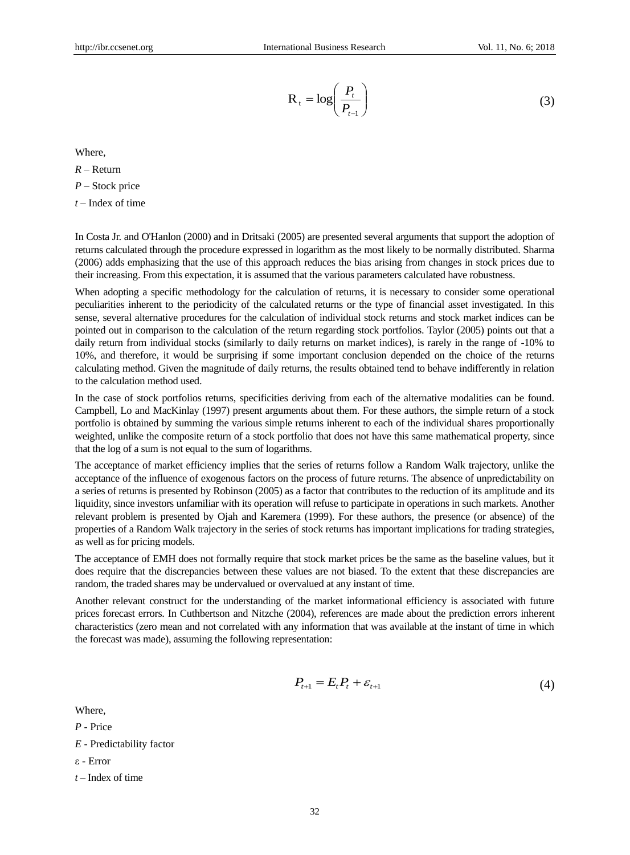$$
R_{t} = \log\left(\frac{P_{t}}{P_{t-1}}\right)
$$
 (3)

Where,

*R* – Return

*P* – Stock price

*t* – Index of time

In Costa Jr. and O'Hanlon (2000) and in Dritsaki (2005) are presented several arguments that support the adoption of returns calculated through the procedure expressed in logarithm as the most likely to be normally distributed. Sharma (2006) adds emphasizing that the use of this approach reduces the bias arising from changes in stock prices due to their increasing. From this expectation, it is assumed that the various parameters calculated have robustness.

=  $log(\frac{P}{P_{t-1}})$ <br>=  $log(\frac{P}{P_{t-1}})$ <br>arithm as the r and the various pa<br>on of returns or the bia<br>on of returns or the regarding sto<br>turns on mark portant concluse turns on mark<br>portant concluse turns on mark<br>about them. F<br> When adopting a specific methodology for the calculation of returns, it is necessary to consider some operational peculiarities inherent to the periodicity of the calculated returns or the type of financial asset investigated. In this sense, several alternative procedures for the calculation of individual stock returns and stock market indices can be pointed out in comparison to the calculation of the return regarding stock portfolios. Taylor (2005) points out that a daily return from individual stocks (similarly to daily returns on market indices), is rarely in the range of -10% to 10%, and therefore, it would be surprising if some important conclusion depended on the choice of the returns calculating method. Given the magnitude of daily returns, the results obtained tend to behave indifferently in relation to the calculation method used.

In the case of stock portfolios returns, specificities deriving from each of the alternative modalities can be found. Campbell, Lo and MacKinlay (1997) present arguments about them. For these authors, the simple return of a stock portfolio is obtained by summing the various simple returns inherent to each of the individual shares proportionally weighted, unlike the composite return of a stock portfolio that does not have this same mathematical property, since that the log of a sum is not equal to the sum of logarithms.

The acceptance of market efficiency implies that the series of returns follow a Random Walk trajectory, unlike the acceptance of the influence of exogenous factors on the process of future returns. The absence of unpredictability on a series of returns is presented by Robinson (2005) as a factor that contributes to the reduction of its amplitude and its liquidity, since investors unfamiliar with its operation will refuse to participate in operations in such markets. Another relevant problem is presented by Ojah and Karemera (1999). For these authors, the presence (or absence) of the properties of a Random Walk trajectory in the series of stock returns has important implications for trading strategies, as well as for pricing models.

The acceptance of EMH does not formally require that stock market prices be the same as the baseline values, but it does require that the discrepancies between these values are not biased. To the extent that these discrepancies are random, the traded shares may be undervalued or overvalued at any instant of time.

Another relevant construct for the understanding of the market informational efficiency is associated with future prices forecast errors. In Cuthbertson and Nitzche (2004), references are made about the prediction errors inherent characteristics (zero mean and not correlated with any information that was available at the instant of time in which the forecast was made), assuming the following representation:

$$
P_{t+1} = E_t P_t + \varepsilon_{t+1} \tag{4}
$$

Where,

*P* - Price

- *E*  Predictability factor
- ε Error
- *t* Index of time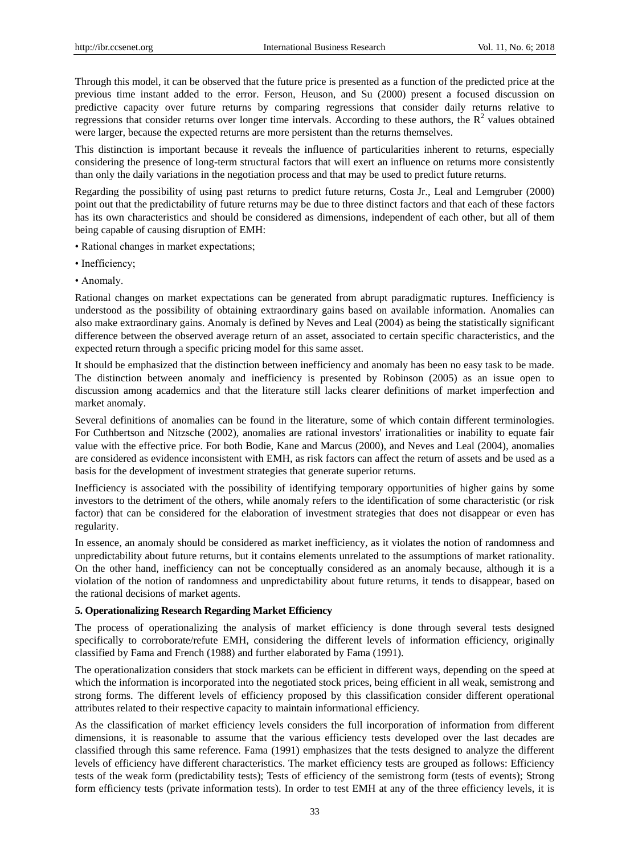Through this model, it can be observed that the future price is presented as a function of the predicted price at the previous time instant added to the error. Ferson, Heuson, and Su (2000) present a focused discussion on predictive capacity over future returns by comparing regressions that consider daily returns relative to regressions that consider returns over longer time intervals. According to these authors, the  $R<sup>2</sup>$  values obtained were larger, because the expected returns are more persistent than the returns themselves.

This distinction is important because it reveals the influence of particularities inherent to returns, especially considering the presence of long-term structural factors that will exert an influence on returns more consistently than only the daily variations in the negotiation process and that may be used to predict future returns.

Regarding the possibility of using past returns to predict future returns, Costa Jr., Leal and Lemgruber (2000) point out that the predictability of future returns may be due to three distinct factors and that each of these factors has its own characteristics and should be considered as dimensions, independent of each other, but all of them being capable of causing disruption of EMH:

- Rational changes in market expectations;
- Inefficiency;
- Anomaly.

Rational changes on market expectations can be generated from abrupt paradigmatic ruptures. Inefficiency is understood as the possibility of obtaining extraordinary gains based on available information. Anomalies can also make extraordinary gains. Anomaly is defined by Neves and Leal (2004) as being the statistically significant difference between the observed average return of an asset, associated to certain specific characteristics, and the expected return through a specific pricing model for this same asset.

It should be emphasized that the distinction between inefficiency and anomaly has been no easy task to be made. The distinction between anomaly and inefficiency is presented by Robinson (2005) as an issue open to discussion among academics and that the literature still lacks clearer definitions of market imperfection and market anomaly.

Several definitions of anomalies can be found in the literature, some of which contain different terminologies. For Cuthbertson and Nitzsche (2002), anomalies are rational investors' irrationalities or inability to equate fair value with the effective price. For both Bodie, Kane and Marcus (2000), and Neves and Leal (2004), anomalies are considered as evidence inconsistent with EMH, as risk factors can affect the return of assets and be used as a basis for the development of investment strategies that generate superior returns.

Inefficiency is associated with the possibility of identifying temporary opportunities of higher gains by some investors to the detriment of the others, while anomaly refers to the identification of some characteristic (or risk factor) that can be considered for the elaboration of investment strategies that does not disappear or even has regularity.

In essence, an anomaly should be considered as market inefficiency, as it violates the notion of randomness and unpredictability about future returns, but it contains elements unrelated to the assumptions of market rationality. On the other hand, inefficiency can not be conceptually considered as an anomaly because, although it is a violation of the notion of randomness and unpredictability about future returns, it tends to disappear, based on the rational decisions of market agents.

#### **5. Operationalizing Research Regarding Market Efficiency**

The process of operationalizing the analysis of market efficiency is done through several tests designed specifically to corroborate/refute EMH, considering the different levels of information efficiency, originally classified by Fama and French (1988) and further elaborated by Fama (1991).

The operationalization considers that stock markets can be efficient in different ways, depending on the speed at which the information is incorporated into the negotiated stock prices, being efficient in all weak, semistrong and strong forms. The different levels of efficiency proposed by this classification consider different operational attributes related to their respective capacity to maintain informational efficiency.

As the classification of market efficiency levels considers the full incorporation of information from different dimensions, it is reasonable to assume that the various efficiency tests developed over the last decades are classified through this same reference. Fama (1991) emphasizes that the tests designed to analyze the different levels of efficiency have different characteristics. The market efficiency tests are grouped as follows: Efficiency tests of the weak form (predictability tests); Tests of efficiency of the semistrong form (tests of events); Strong form efficiency tests (private information tests). In order to test EMH at any of the three efficiency levels, it is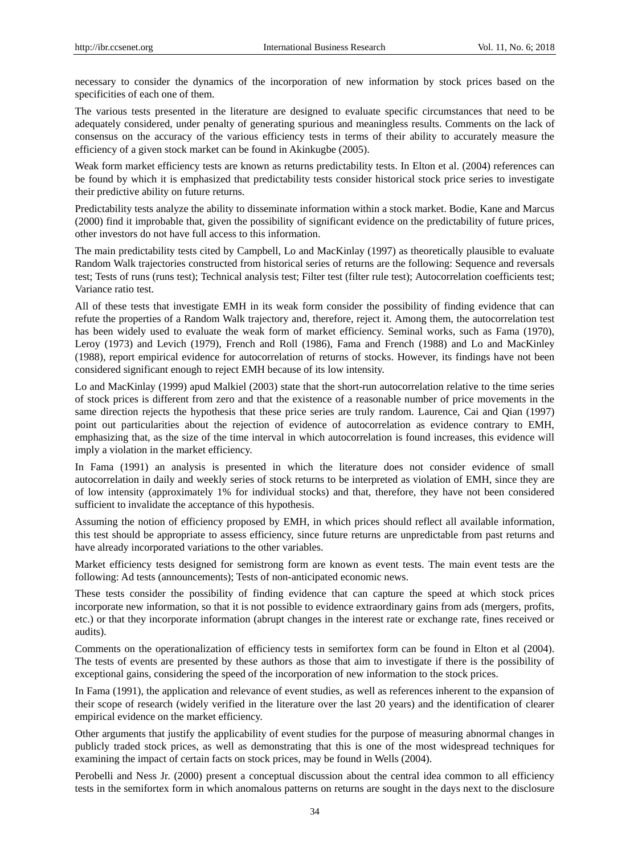necessary to consider the dynamics of the incorporation of new information by stock prices based on the specificities of each one of them.

The various tests presented in the literature are designed to evaluate specific circumstances that need to be adequately considered, under penalty of generating spurious and meaningless results. Comments on the lack of consensus on the accuracy of the various efficiency tests in terms of their ability to accurately measure the efficiency of a given stock market can be found in Akinkugbe (2005).

Weak form market efficiency tests are known as returns predictability tests. In Elton et al. (2004) references can be found by which it is emphasized that predictability tests consider historical stock price series to investigate their predictive ability on future returns.

Predictability tests analyze the ability to disseminate information within a stock market. Bodie, Kane and Marcus (2000) find it improbable that, given the possibility of significant evidence on the predictability of future prices, other investors do not have full access to this information.

The main predictability tests cited by Campbell, Lo and MacKinlay (1997) as theoretically plausible to evaluate Random Walk trajectories constructed from historical series of returns are the following: Sequence and reversals test; Tests of runs (runs test); Technical analysis test; Filter test (filter rule test); Autocorrelation coefficients test; Variance ratio test.

All of these tests that investigate EMH in its weak form consider the possibility of finding evidence that can refute the properties of a Random Walk trajectory and, therefore, reject it. Among them, the autocorrelation test has been widely used to evaluate the weak form of market efficiency. Seminal works, such as Fama (1970), Leroy (1973) and Levich (1979), French and Roll (1986), Fama and French (1988) and Lo and MacKinley (1988), report empirical evidence for autocorrelation of returns of stocks. However, its findings have not been considered significant enough to reject EMH because of its low intensity.

Lo and MacKinlay (1999) apud Malkiel (2003) state that the short-run autocorrelation relative to the time series of stock prices is different from zero and that the existence of a reasonable number of price movements in the same direction rejects the hypothesis that these price series are truly random. Laurence, Cai and Qian (1997) point out particularities about the rejection of evidence of autocorrelation as evidence contrary to EMH, emphasizing that, as the size of the time interval in which autocorrelation is found increases, this evidence will imply a violation in the market efficiency.

In Fama (1991) an analysis is presented in which the literature does not consider evidence of small autocorrelation in daily and weekly series of stock returns to be interpreted as violation of EMH, since they are of low intensity (approximately 1% for individual stocks) and that, therefore, they have not been considered sufficient to invalidate the acceptance of this hypothesis.

Assuming the notion of efficiency proposed by EMH, in which prices should reflect all available information, this test should be appropriate to assess efficiency, since future returns are unpredictable from past returns and have already incorporated variations to the other variables.

Market efficiency tests designed for semistrong form are known as event tests. The main event tests are the following: Ad tests (announcements); Tests of non-anticipated economic news.

These tests consider the possibility of finding evidence that can capture the speed at which stock prices incorporate new information, so that it is not possible to evidence extraordinary gains from ads (mergers, profits, etc.) or that they incorporate information (abrupt changes in the interest rate or exchange rate, fines received or audits).

Comments on the operationalization of efficiency tests in semifortex form can be found in Elton et al (2004). The tests of events are presented by these authors as those that aim to investigate if there is the possibility of exceptional gains, considering the speed of the incorporation of new information to the stock prices.

In Fama (1991), the application and relevance of event studies, as well as references inherent to the expansion of their scope of research (widely verified in the literature over the last 20 years) and the identification of clearer empirical evidence on the market efficiency.

Other arguments that justify the applicability of event studies for the purpose of measuring abnormal changes in publicly traded stock prices, as well as demonstrating that this is one of the most widespread techniques for examining the impact of certain facts on stock prices, may be found in Wells (2004).

Perobelli and Ness Jr. (2000) present a conceptual discussion about the central idea common to all efficiency tests in the semifortex form in which anomalous patterns on returns are sought in the days next to the disclosure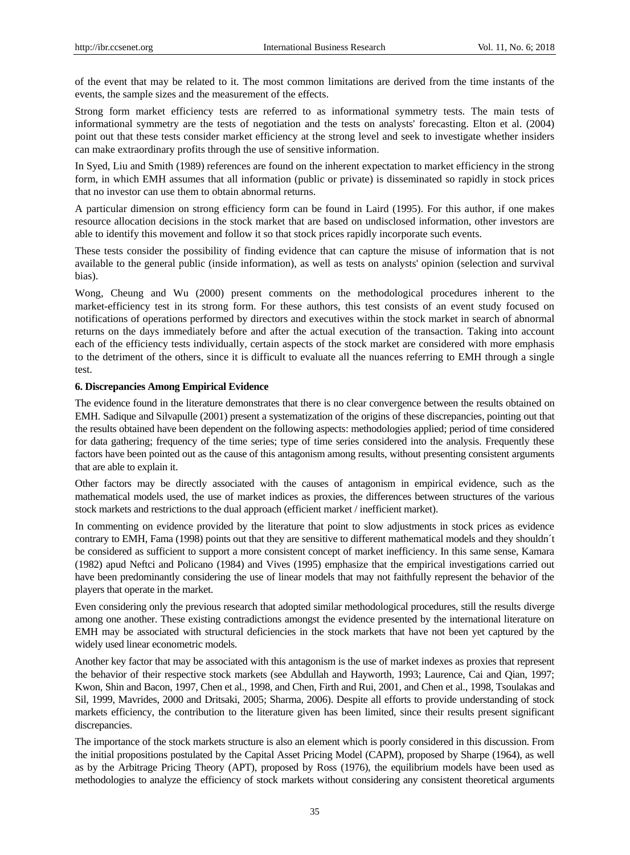of the event that may be related to it. The most common limitations are derived from the time instants of the events, the sample sizes and the measurement of the effects.

Strong form market efficiency tests are referred to as informational symmetry tests. The main tests of informational symmetry are the tests of negotiation and the tests on analysts' forecasting. Elton et al. (2004) point out that these tests consider market efficiency at the strong level and seek to investigate whether insiders can make extraordinary profits through the use of sensitive information.

In Syed, Liu and Smith (1989) references are found on the inherent expectation to market efficiency in the strong form, in which EMH assumes that all information (public or private) is disseminated so rapidly in stock prices that no investor can use them to obtain abnormal returns.

A particular dimension on strong efficiency form can be found in Laird (1995). For this author, if one makes resource allocation decisions in the stock market that are based on undisclosed information, other investors are able to identify this movement and follow it so that stock prices rapidly incorporate such events.

These tests consider the possibility of finding evidence that can capture the misuse of information that is not available to the general public (inside information), as well as tests on analysts' opinion (selection and survival bias).

Wong, Cheung and Wu (2000) present comments on the methodological procedures inherent to the market-efficiency test in its strong form. For these authors, this test consists of an event study focused on notifications of operations performed by directors and executives within the stock market in search of abnormal returns on the days immediately before and after the actual execution of the transaction. Taking into account each of the efficiency tests individually, certain aspects of the stock market are considered with more emphasis to the detriment of the others, since it is difficult to evaluate all the nuances referring to EMH through a single test.

#### **6. Discrepancies Among Empirical Evidence**

The evidence found in the literature demonstrates that there is no clear convergence between the results obtained on EMH. Sadique and Silvapulle (2001) present a systematization of the origins of these discrepancies, pointing out that the results obtained have been dependent on the following aspects: methodologies applied; period of time considered for data gathering; frequency of the time series; type of time series considered into the analysis. Frequently these factors have been pointed out as the cause of this antagonism among results, without presenting consistent arguments that are able to explain it.

Other factors may be directly associated with the causes of antagonism in empirical evidence, such as the mathematical models used, the use of market indices as proxies, the differences between structures of the various stock markets and restrictions to the dual approach (efficient market / inefficient market).

In commenting on evidence provided by the literature that point to slow adjustments in stock prices as evidence contrary to EMH, Fama (1998) points out that they are sensitive to different mathematical models and they shouldn  $t$ be considered as sufficient to support a more consistent concept of market inefficiency. In this same sense, Kamara (1982) apud Neftci and Policano (1984) and Vives (1995) emphasize that the empirical investigations carried out have been predominantly considering the use of linear models that may not faithfully represent the behavior of the players that operate in the market.

Even considering only the previous research that adopted similar methodological procedures, still the results diverge among one another. These existing contradictions amongst the evidence presented by the international literature on EMH may be associated with structural deficiencies in the stock markets that have not been yet captured by the widely used linear econometric models.

Another key factor that may be associated with this antagonism is the use of market indexes as proxies that represent the behavior of their respective stock markets (see Abdullah and Hayworth, 1993; Laurence, Cai and Qian, 1997; Kwon, Shin and Bacon, 1997, Chen et al., 1998, and Chen, Firth and Rui, 2001, and Chen et al., 1998, Tsoulakas and Sil, 1999, Mavrides, 2000 and Dritsaki, 2005; Sharma, 2006). Despite all efforts to provide understanding of stock markets efficiency, the contribution to the literature given has been limited, since their results present significant discrepancies.

The importance of the stock markets structure is also an element which is poorly considered in this discussion. From the initial propositions postulated by the Capital Asset Pricing Model (CAPM), proposed by Sharpe (1964), as well as by the Arbitrage Pricing Theory (APT), proposed by Ross (1976), the equilibrium models have been used as methodologies to analyze the efficiency of stock markets without considering any consistent theoretical arguments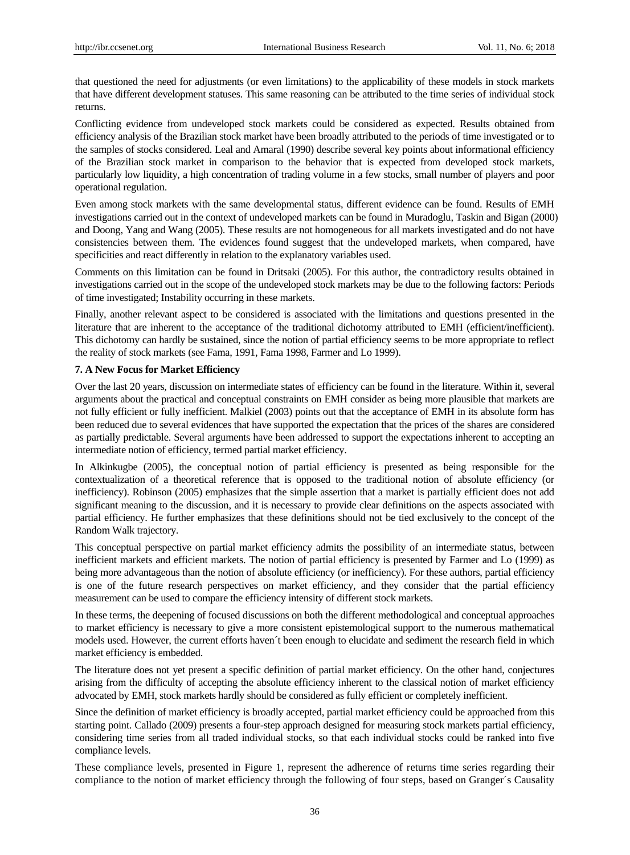that questioned the need for adjustments (or even limitations) to the applicability of these models in stock markets that have different development statuses. This same reasoning can be attributed to the time series of individual stock returns.

Conflicting evidence from undeveloped stock markets could be considered as expected. Results obtained from efficiency analysis of the Brazilian stock market have been broadly attributed to the periods of time investigated or to the samples of stocks considered. Leal and Amaral (1990) describe several key points about informational efficiency of the Brazilian stock market in comparison to the behavior that is expected from developed stock markets, particularly low liquidity, a high concentration of trading volume in a few stocks, small number of players and poor operational regulation.

Even among stock markets with the same developmental status, different evidence can be found. Results of EMH investigations carried out in the context of undeveloped markets can be found in Muradoglu, Taskin and Bigan (2000) and Doong, Yang and Wang (2005). These results are not homogeneous for all markets investigated and do not have consistencies between them. The evidences found suggest that the undeveloped markets, when compared, have specificities and react differently in relation to the explanatory variables used.

Comments on this limitation can be found in Dritsaki (2005). For this author, the contradictory results obtained in investigations carried out in the scope of the undeveloped stock markets may be due to the following factors: Periods of time investigated; Instability occurring in these markets.

Finally, another relevant aspect to be considered is associated with the limitations and questions presented in the literature that are inherent to the acceptance of the traditional dichotomy attributed to EMH (efficient/inefficient). This dichotomy can hardly be sustained, since the notion of partial efficiency seems to be more appropriate to reflect the reality of stock markets (see Fama, 1991, Fama 1998, Farmer and Lo 1999).

#### **7. A New Focus for Market Efficiency**

Over the last 20 years, discussion on intermediate states of efficiency can be found in the literature. Within it, several arguments about the practical and conceptual constraints on EMH consider as being more plausible that markets are not fully efficient or fully inefficient. Malkiel (2003) points out that the acceptance of EMH in its absolute form has been reduced due to several evidences that have supported the expectation that the prices of the shares are considered as partially predictable. Several arguments have been addressed to support the expectations inherent to accepting an intermediate notion of efficiency, termed partial market efficiency.

In Alkinkugbe (2005), the conceptual notion of partial efficiency is presented as being responsible for the contextualization of a theoretical reference that is opposed to the traditional notion of absolute efficiency (or inefficiency). Robinson (2005) emphasizes that the simple assertion that a market is partially efficient does not add significant meaning to the discussion, and it is necessary to provide clear definitions on the aspects associated with partial efficiency. He further emphasizes that these definitions should not be tied exclusively to the concept of the Random Walk trajectory.

This conceptual perspective on partial market efficiency admits the possibility of an intermediate status, between inefficient markets and efficient markets. The notion of partial efficiency is presented by Farmer and Lo (1999) as being more advantageous than the notion of absolute efficiency (or inefficiency). For these authors, partial efficiency is one of the future research perspectives on market efficiency, and they consider that the partial efficiency measurement can be used to compare the efficiency intensity of different stock markets.

In these terms, the deepening of focused discussions on both the different methodological and conceptual approaches to market efficiency is necessary to give a more consistent epistemological support to the numerous mathematical models used. However, the current efforts haven t been enough to elucidate and sediment the research field in which market efficiency is embedded.

The literature does not yet present a specific definition of partial market efficiency. On the other hand, conjectures arising from the difficulty of accepting the absolute efficiency inherent to the classical notion of market efficiency advocated by EMH, stock markets hardly should be considered as fully efficient or completely inefficient.

Since the definition of market efficiency is broadly accepted, partial market efficiency could be approached from this starting point. Callado (2009) presents a four-step approach designed for measuring stock markets partial efficiency, considering time series from all traded individual stocks, so that each individual stocks could be ranked into five compliance levels.

These compliance levels, presented in Figure 1, represent the adherence of returns time series regarding their compliance to the notion of market efficiency through the following of four steps, based on Granger  $\acute{\text{s}}$  Causality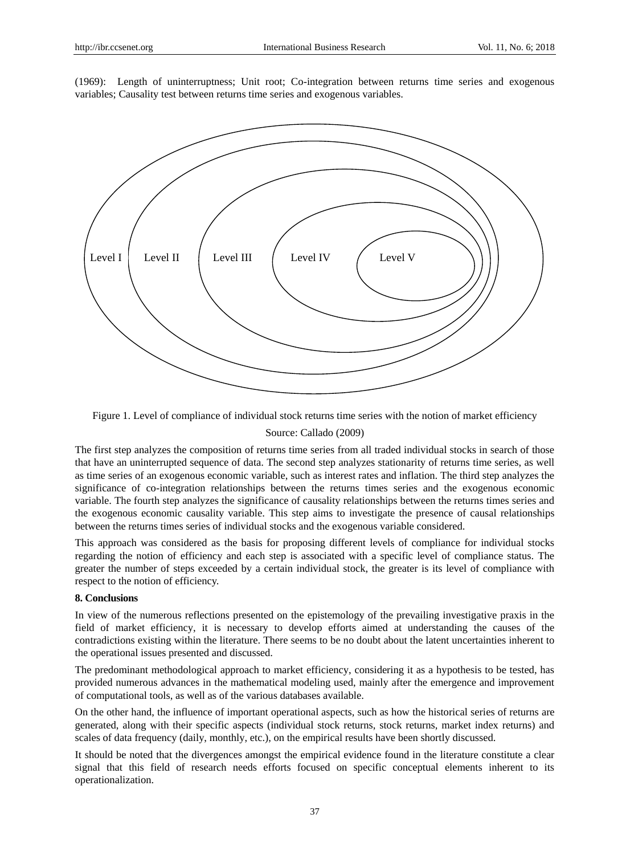(1969): Length of uninterruptness; Unit root; Co-integration between returns time series and exogenous variables; Causality test between returns time series and exogenous variables.



Figure 1. Level of compliance of individual stock returns time series with the notion of market efficiency Source: Callado (2009)

The first step analyzes the composition of returns time series from all traded individual stocks in search of those that have an uninterrupted sequence of data. The second step analyzes stationarity of returns time series, as well as time series of an exogenous economic variable, such as interest rates and inflation. The third step analyzes the significance of co-integration relationships between the returns times series and the exogenous economic variable. The fourth step analyzes the significance of causality relationships between the returns times series and the exogenous economic causality variable. This step aims to investigate the presence of causal relationships between the returns times series of individual stocks and the exogenous variable considered.

This approach was considered as the basis for proposing different levels of compliance for individual stocks regarding the notion of efficiency and each step is associated with a specific level of compliance status. The greater the number of steps exceeded by a certain individual stock, the greater is its level of compliance with respect to the notion of efficiency.

#### **8. Conclusions**

In view of the numerous reflections presented on the epistemology of the prevailing investigative praxis in the field of market efficiency, it is necessary to develop efforts aimed at understanding the causes of the contradictions existing within the literature. There seems to be no doubt about the latent uncertainties inherent to the operational issues presented and discussed.

The predominant methodological approach to market efficiency, considering it as a hypothesis to be tested, has provided numerous advances in the mathematical modeling used, mainly after the emergence and improvement of computational tools, as well as of the various databases available.

On the other hand, the influence of important operational aspects, such as how the historical series of returns are generated, along with their specific aspects (individual stock returns, stock returns, market index returns) and scales of data frequency (daily, monthly, etc.), on the empirical results have been shortly discussed.

It should be noted that the divergences amongst the empirical evidence found in the literature constitute a clear signal that this field of research needs efforts focused on specific conceptual elements inherent to its operationalization.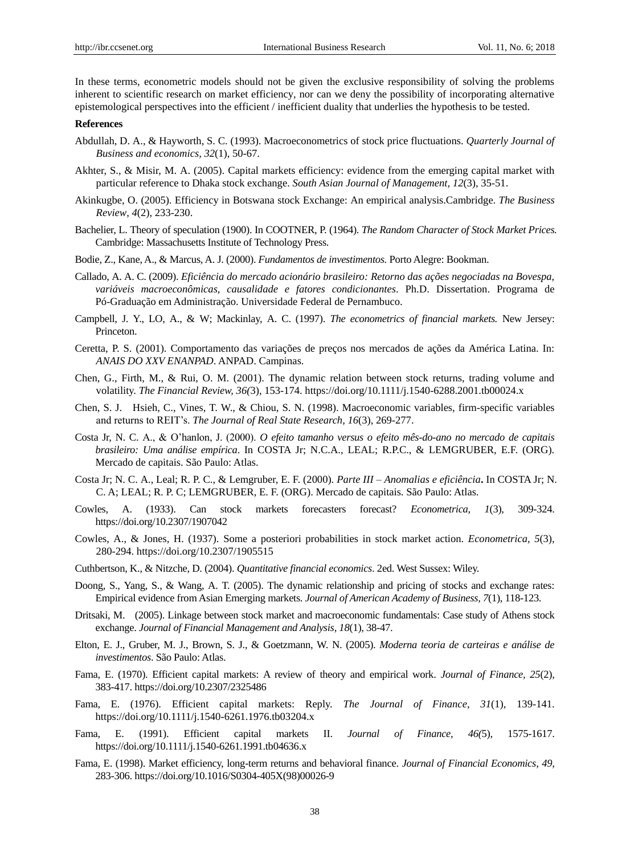In these terms, econometric models should not be given the exclusive responsibility of solving the problems inherent to scientific research on market efficiency, nor can we deny the possibility of incorporating alternative epistemological perspectives into the efficient / inefficient duality that underlies the hypothesis to be tested.

#### **References**

- Abdullah, D. A., & Hayworth, S. C. (1993). Macroeconometrics of stock price fluctuations. *Quarterly Journal of Business and economics, 32*(1), 50-67.
- Akhter, S., & Misir, M. A. (2005). Capital markets efficiency: evidence from the emerging capital market with particular reference to Dhaka stock exchange. *South Asian Journal of Management, 12*(3), 35-51.
- Akinkugbe, O. (2005). Efficiency in Botswana stock Exchange: An empirical analysis.Cambridge. *The Business Review*, *4*(2), 233-230.
- Bachelier, L. Theory of speculation (1900). In COOTNER, P. (1964). *The Random Character of Stock Market Prices.*  Cambridge: Massachusetts Institute of Technology Press.
- Bodie, Z., Kane, A., & Marcus, A. J. (2000). *Fundamentos de investimentos.* Porto Alegre: Bookman.
- Callado, A. A. C. (2009). *Eficiência do mercado acionário brasileiro: Retorno das ações negociadas na Bovespa, variáveis macroeconômicas, causalidade e fatores condicionantes*. Ph.D. Dissertation. Programa de Pó-Graduação em Administração. Universidade Federal de Pernambuco.
- Campbell, J. Y., LO, A., & W; Mackinlay, A. C. (1997). *The econometrics of financial markets.* New Jersey: Princeton.
- Ceretta, P. S. (2001). Comportamento das variações de preços nos mercados de ações da América Latina. In: *ANAIS DO XXV ENANPAD*. ANPAD. Campinas.
- Chen, G., Firth, M., & Rui, O. M. (2001). The dynamic relation between stock returns, trading volume and volatility. *The Financial Review, 36(*3), 153-174. https://doi.org/10.1111/j.1540-6288.2001.tb00024.x
- Chen, S. J. Hsieh, C., Vines, T. W., & Chiou, S. N. (1998). Macroeconomic variables, firm-specific variables and returns to REIT's. *The Journal of Real State Research*, *16*(3), 269-277.
- Costa Jr, N. C. A., & O'hanlon, J. (2000). *O efeito tamanho versus o efeito mês-do-ano no mercado de capitais brasileiro: Uma análise empírica*. In COSTA Jr; N.C.A., LEAL; R.P.C., & LEMGRUBER, E.F. (ORG). Mercado de capitais. São Paulo: Atlas.
- Costa Jr; N. C. A., Leal; R. P. C., & Lemgruber, E. F. (2000). *Parte III – Anomalias e eficiência***.** In COSTA Jr; N. C. A; LEAL; R. P. C; LEMGRUBER, E. F. (ORG). Mercado de capitais. São Paulo: Atlas.
- Cowles, A. (1933). Can stock markets forecasters forecast? *Econometrica*, *1*(3), 309-324. https://doi.org/10.2307/1907042
- Cowles, A., & Jones, H. (1937). Some a posteriori probabilities in stock market action. *Econometrica*, *5*(3), 280-294. https://doi.org/10.2307/1905515
- Cuthbertson, K., & Nitzche, D. (2004). *Quantitative financial economics*. 2ed. West Sussex: Wiley.
- Doong, S., Yang, S., & Wang, A. T. (2005). The dynamic relationship and pricing of stocks and exchange rates: Empirical evidence from Asian Emerging markets. *Journal of American Academy of Business, 7*(1), 118-123.
- Dritsaki, M. (2005). Linkage between stock market and macroeconomic fundamentals: Case study of Athens stock exchange. *Journal of Financial Management and Analysis, 18*(1), 38-47.
- Elton, E. J., Gruber, M. J., Brown, S. J., & Goetzmann, W. N. (2005). *Moderna teoria de carteiras e análise de investimentos*. São Paulo: Atlas.
- Fama, E. (1970). Efficient capital markets: A review of theory and empirical work. *Journal of Finance, 25*(2), 383-417. https://doi.org/10.2307/2325486
- Fama, E. (1976). Efficient capital markets: Reply. *The Journal of Finance*, *31*(1), 139-141. https://doi.org/10.1111/j.1540-6261.1976.tb03204.x
- Fama, E. (1991). Efficient capital markets II. *Journal of Finance, 46(*5), 1575-1617. https://doi.org/10.1111/j.1540-6261.1991.tb04636.x
- Fama, E. (1998). Market efficiency, long-term returns and behavioral finance. *Journal of Financial Economics, 49,*  283-306. https://doi.org/10.1016/S0304-405X(98)00026-9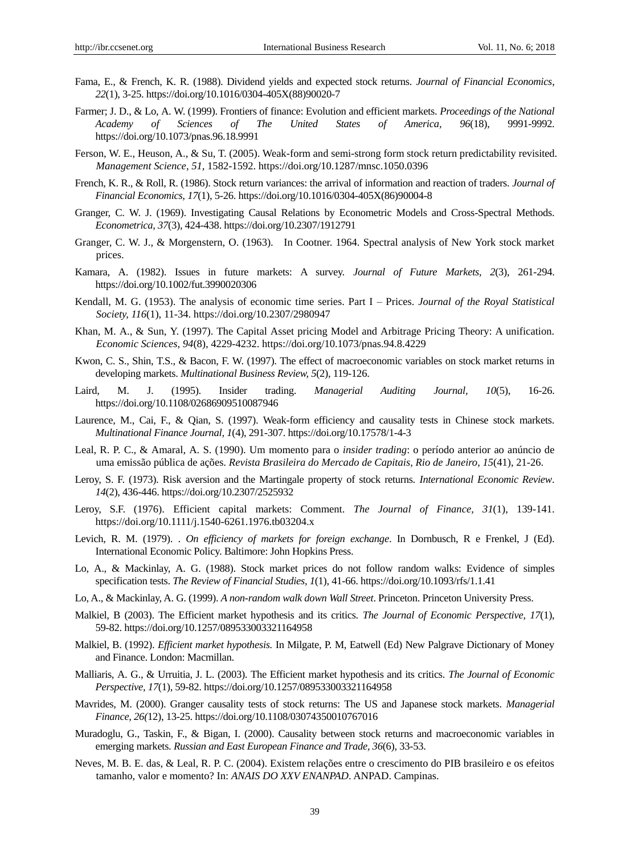- Fama, E., & French, K. R. (1988). Dividend yields and expected stock returns. *Journal of Financial Economics*, *22*(1), 3-25. https://doi.org/10.1016/0304-405X(88)90020-7
- Farmer; J. D., & Lo, A. W. (1999). Frontiers of finance: Evolution and efficient markets. *Proceedings of the National Academy of Sciences of The United States of America, 96*(18), 9991-9992. https://doi.org/10.1073/pnas.96.18.9991
- Ferson, W. E., Heuson, A., & Su, T. (2005). Weak-form and semi-strong form stock return predictability revisited. *Management Science*, *51,* 1582-1592. https://doi.org/10.1287/mnsc.1050.0396
- French, K. R., & Roll, R. (1986). Stock return variances: the arrival of information and reaction of traders. *Journal of Financial Economics, 17*(1), 5-26. https://doi.org/10.1016/0304-405X(86)90004-8
- Granger, C. W. J. (1969). Investigating Causal Relations by Econometric Models and Cross-Spectral Methods. *Econometrica, 37*(3), 424-438. https://doi.org/10.2307/1912791
- Granger, C. W. J., & Morgenstern, O. (1963). In Cootner. 1964. Spectral analysis of New York stock market prices.
- Kamara, A. (1982). Issues in future markets: A survey. *Journal of Future Markets, 2*(3), 261-294. https://doi.org/10.1002/fut.3990020306
- Kendall, M. G. (1953). The analysis of economic time series. Part I Prices. *Journal of the Royal Statistical Society, 116*(1), 11-34. https://doi.org/10.2307/2980947
- Khan, M. A., & Sun, Y. (1997). The Capital Asset pricing Model and Arbitrage Pricing Theory: A unification. *Economic Sciences, 94*(8), 4229-4232. https://doi.org/10.1073/pnas.94.8.4229
- Kwon, C. S., Shin, T.S., & Bacon, F. W. (1997). The effect of macroeconomic variables on stock market returns in developing markets. *Multinational Business Review, 5*(2), 119-126.
- Laird, M. J. (1995). Insider trading. *Managerial Auditing Journal, 10*(5), 16-26. https://doi.org/10.1108/02686909510087946
- Laurence, M., Cai, F., & Qian, S. (1997). Weak-form efficiency and causality tests in Chinese stock markets. *Multinational Finance Journal, 1*(4), 291-307. https://doi.org/10.17578/1-4-3
- Leal, R. P. C., & Amaral, A. S. (1990). Um momento para o *insider trading*: o per ódo anterior ao anúncio de uma emissão pública de ações. *Revista Brasileira do Mercado de Capitais, Rio de Janeiro, 15*(41), 21-26.
- Leroy, S. F. (1973). Risk aversion and the Martingale property of stock returns. *International Economic Review*. *14*(2), 436-446. https://doi.org/10.2307/2525932
- Leroy, S.F. (1976). Efficient capital markets: Comment. *The Journal of Finance, 31*(1), 139-141. https://doi.org/10.1111/j.1540-6261.1976.tb03204.x
- Levich, R. M. (1979). . *On efficiency of markets for foreign exchange*. In Dornbusch, R e Frenkel, J (Ed). International Economic Policy. Baltimore: John Hopkins Press.
- Lo, A., & Mackinlay, A. G. (1988). Stock market prices do not follow random walks: Evidence of simples specification tests. *The Review of Financial Studies, 1*(1), 41-66. https://doi.org/10.1093/rfs/1.1.41
- Lo, A., & Mackinlay, A. G. (1999). *A non-random walk down Wall Street*. Princeton. Princeton University Press.
- Malkiel, B (2003). The Efficient market hypothesis and its critics. *The Journal of Economic Perspective, 17*(1), 59-82. https://doi.org/10.1257/089533003321164958
- Malkiel, B. (1992). *Efficient market hypothesis.* In Milgate, P. M, Eatwell (Ed) New Palgrave Dictionary of Money and Finance. London: Macmillan.
- Malliaris, A. G., & Urruitia, J. L. (2003). The Efficient market hypothesis and its critics. *The Journal of Economic Perspective, 17*(1), 59-82. https://doi.org/10.1257/089533003321164958
- Mavrides, M. (2000). Granger causality tests of stock returns: The US and Japanese stock markets. *Managerial Finance, 26(*12), 13-25. https://doi.org/10.1108/03074350010767016
- Muradoglu, G., Taskin, F., & Bigan, I. (2000). Causality between stock returns and macroeconomic variables in emerging markets. *Russian and East European Finance and Trade, 36*(6), 33-53.
- Neves, M. B. E. das, & Leal, R. P. C. (2004). Existem relações entre o crescimento do PIB brasileiro e os efeitos tamanho, valor e momento? In: *ANAIS DO XXV ENANPAD*. ANPAD. Campinas.